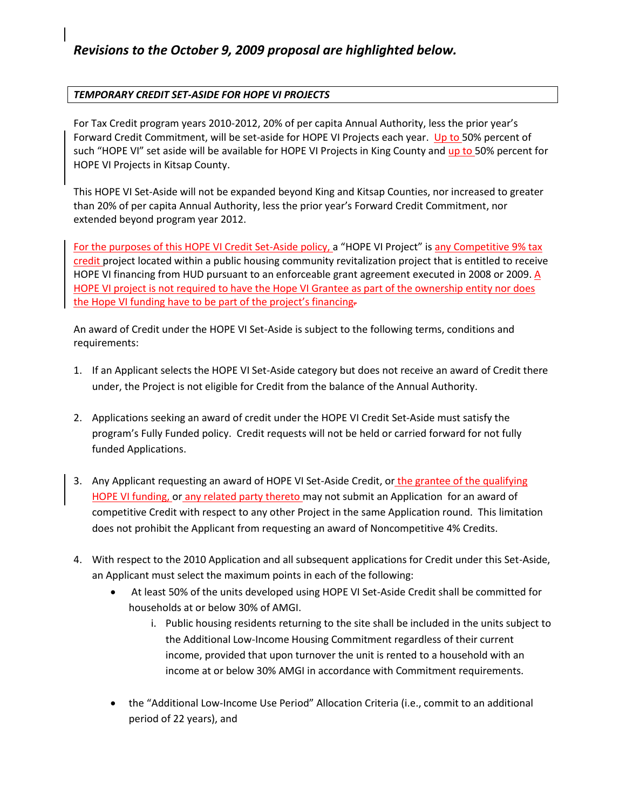## *TEMPORARY CREDIT SET-ASIDE FOR HOPE VI PROJECTS*

For Tax Credit program years 2010-2012, 20% of per capita Annual Authority, less the prior year's Forward Credit Commitment, will be set-aside for HOPE VI Projects each year. Up to 50% percent of such "HOPE VI" set aside will be available for HOPE VI Projects in King County and up to 50% percent for HOPE VI Projects in Kitsap County.

This HOPE VI Set-Aside will not be expanded beyond King and Kitsap Counties, nor increased to greater than 20% of per capita Annual Authority, less the prior year's Forward Credit Commitment, nor extended beyond program year 2012.

For the purposes of this HOPE VI Credit Set-Aside policy, a "HOPE VI Project" is any Competitive 9% tax credit project located within a public housing community revitalization project that is entitled to receive HOPE VI financing from HUD pursuant to an enforceable grant agreement executed in 2008 or 2009. A HOPE VI project is not required to have the Hope VI Grantee as part of the ownership entity nor does the Hope VI funding have to be part of the project's financing*.* 

An award of Credit under the HOPE VI Set-Aside is subject to the following terms, conditions and requirements:

- 1. If an Applicant selects the HOPE VI Set-Aside category but does not receive an award of Credit there under, the Project is not eligible for Credit from the balance of the Annual Authority.
- 2. Applications seeking an award of credit under the HOPE VI Credit Set-Aside must satisfy the program's Fully Funded policy. Credit requests will not be held or carried forward for not fully funded Applications.
- 3. Any Applicant requesting an award of HOPE VI Set-Aside Credit, or the grantee of the qualifying HOPE VI funding, or any related party thereto may not submit an Application for an award of competitive Credit with respect to any other Project in the same Application round. This limitation does not prohibit the Applicant from requesting an award of Noncompetitive 4% Credits.
- 4. With respect to the 2010 Application and all subsequent applications for Credit under this Set-Aside, an Applicant must select the maximum points in each of the following:
	- At least 50% of the units developed using HOPE VI Set-Aside Credit shall be committed for households at or below 30% of AMGI.
		- i. Public housing residents returning to the site shall be included in the units subject to the Additional Low-Income Housing Commitment regardless of their current income, provided that upon turnover the unit is rented to a household with an income at or below 30% AMGI in accordance with Commitment requirements.
	- the "Additional Low-Income Use Period" Allocation Criteria (i.e., commit to an additional period of 22 years), and